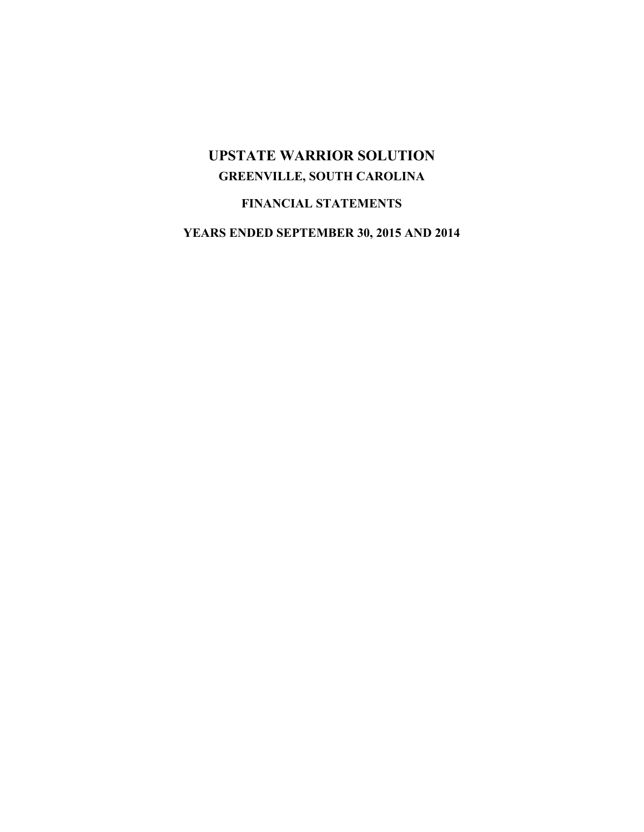# **FINANCIAL STATEMENTS**

**YEARS ENDED SEPTEMBER 30, 2015 AND 2014**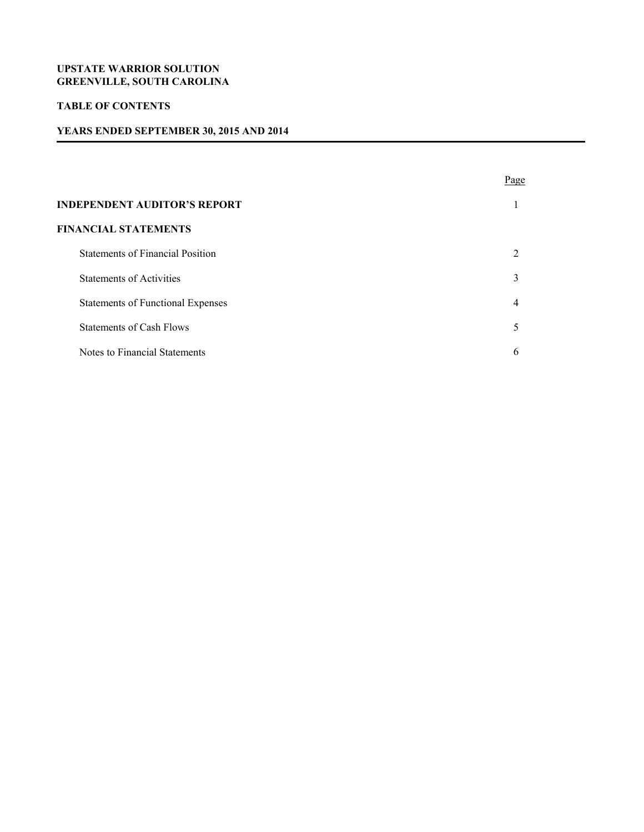# **TABLE OF CONTENTS**

# **YEARS ENDED SEPTEMBER 30, 2015 AND 2014**

|                                          | Page                        |
|------------------------------------------|-----------------------------|
| <b>INDEPENDENT AUDITOR'S REPORT</b>      |                             |
| <b>FINANCIAL STATEMENTS</b>              |                             |
| <b>Statements of Financial Position</b>  | $\mathcal{D}_{\mathcal{A}}$ |
| <b>Statements of Activities</b>          | 3                           |
| <b>Statements of Functional Expenses</b> | 4                           |
| <b>Statements of Cash Flows</b>          | 5                           |
| Notes to Financial Statements            | 6                           |

ׇ֚֡֬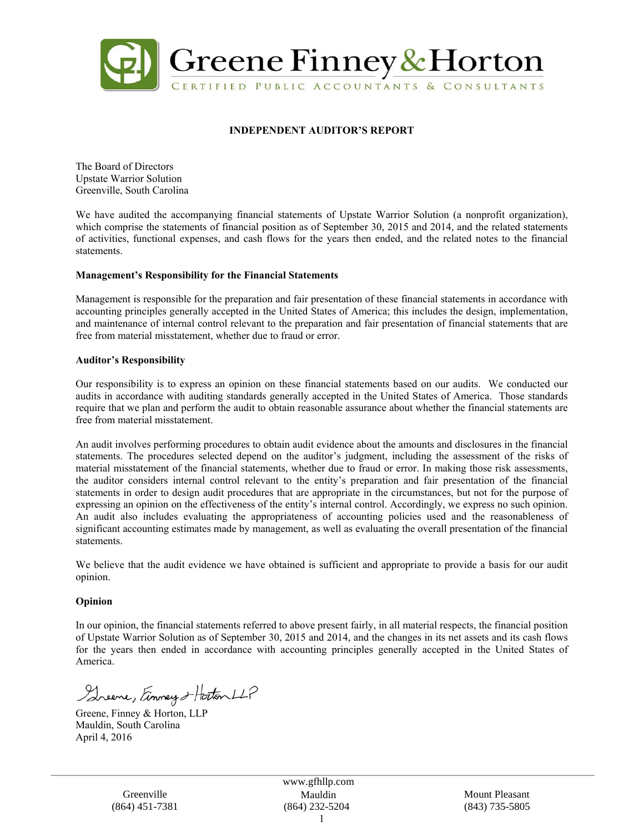

# **INDEPENDENT AUDITOR'S REPORT**

The Board of Directors Upstate Warrior Solution Greenville, South Carolina

We have audited the accompanying financial statements of Upstate Warrior Solution (a nonprofit organization), which comprise the statements of financial position as of September 30, 2015 and 2014, and the related statements of activities, functional expenses, and cash flows for the years then ended, and the related notes to the financial statements.

#### **Management's Responsibility for the Financial Statements**

Management is responsible for the preparation and fair presentation of these financial statements in accordance with accounting principles generally accepted in the United States of America; this includes the design, implementation, and maintenance of internal control relevant to the preparation and fair presentation of financial statements that are free from material misstatement, whether due to fraud or error.

#### **Auditor's Responsibility**

Our responsibility is to express an opinion on these financial statements based on our audits. We conducted our audits in accordance with auditing standards generally accepted in the United States of America. Those standards require that we plan and perform the audit to obtain reasonable assurance about whether the financial statements are free from material misstatement.

An audit involves performing procedures to obtain audit evidence about the amounts and disclosures in the financial statements. The procedures selected depend on the auditor's judgment, including the assessment of the risks of material misstatement of the financial statements, whether due to fraud or error. In making those risk assessments, the auditor considers internal control relevant to the entity's preparation and fair presentation of the financial statements in order to design audit procedures that are appropriate in the circumstances, but not for the purpose of expressing an opinion on the effectiveness of the entity's internal control. Accordingly, we express no such opinion. An audit also includes evaluating the appropriateness of accounting policies used and the reasonableness of significant accounting estimates made by management, as well as evaluating the overall presentation of the financial statements.

We believe that the audit evidence we have obtained is sufficient and appropriate to provide a basis for our audit opinion.

#### **Opinion**

In our opinion, the financial statements referred to above present fairly, in all material respects, the financial position of Upstate Warrior Solution as of September 30, 2015 and 2014, and the changes in its net assets and its cash flows for the years then ended in accordance with accounting principles generally accepted in the United States of America.

Streene, Einney & Hotton LLP

Greene, Finney & Horton, LLP Mauldin, South Carolina April 4, 2016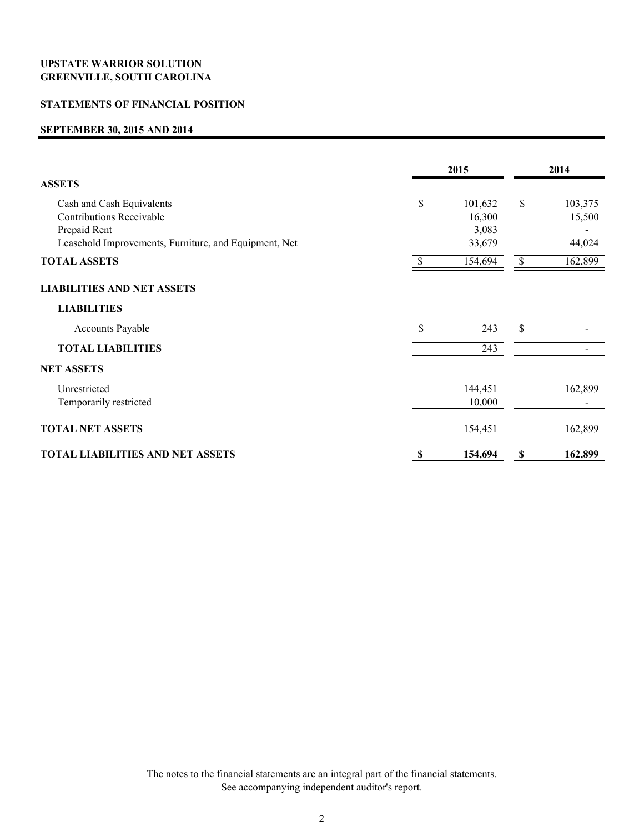# **STATEMENTS OF FINANCIAL POSITION**

#### **SEPTEMBER 30, 2015 AND 2014**

|                                                                                                                                       |    | 2015                                 |    |                             |
|---------------------------------------------------------------------------------------------------------------------------------------|----|--------------------------------------|----|-----------------------------|
| <b>ASSETS</b>                                                                                                                         |    |                                      |    |                             |
| Cash and Cash Equivalents<br><b>Contributions Receivable</b><br>Prepaid Rent<br>Leasehold Improvements, Furniture, and Equipment, Net | \$ | 101,632<br>16,300<br>3,083<br>33,679 | \$ | 103,375<br>15,500<br>44,024 |
| <b>TOTAL ASSETS</b>                                                                                                                   | \$ | 154,694                              | \$ | 162,899                     |
| <b>LIABILITIES AND NET ASSETS</b>                                                                                                     |    |                                      |    |                             |
| <b>LIABILITIES</b>                                                                                                                    |    |                                      |    |                             |
| <b>Accounts Payable</b>                                                                                                               | \$ | 243                                  | \$ |                             |
| <b>TOTAL LIABILITIES</b>                                                                                                              |    | 243                                  |    |                             |
| <b>NET ASSETS</b>                                                                                                                     |    |                                      |    |                             |
| Unrestricted<br>Temporarily restricted                                                                                                |    | 144,451<br>10,000                    |    | 162,899                     |
| <b>TOTAL NET ASSETS</b>                                                                                                               |    | 154,451                              |    | 162,899                     |
| <b>TOTAL LIABILITIES AND NET ASSETS</b>                                                                                               | S  | 154,694                              | \$ | 162,899                     |

The notes to the financial statements are an integral part of the financial statements. See accompanying independent auditor's report.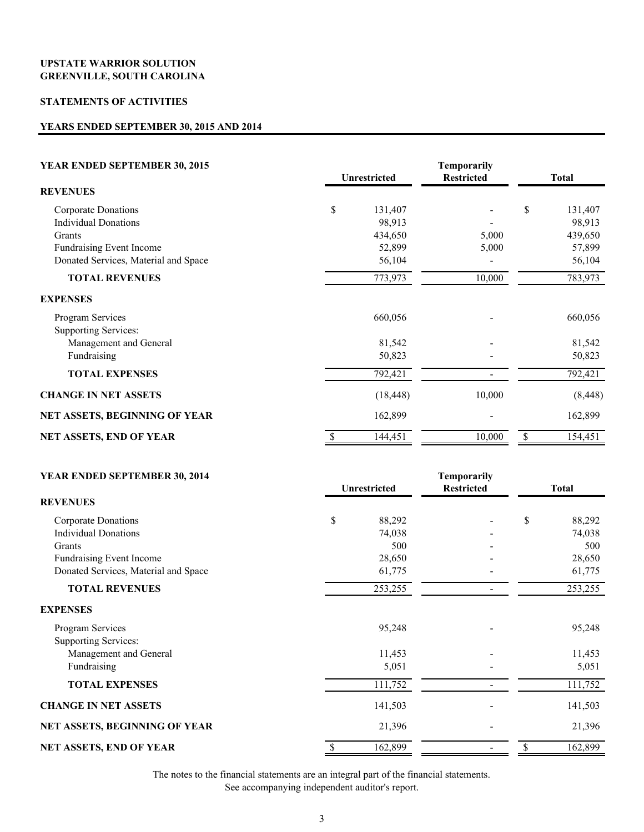# **STATEMENTS OF ACTIVITIES**

# **YEARS ENDED SEPTEMBER 30, 2015 AND 2014**

| YEAR ENDED SEPTEMBER 30, 2015        | <b>Unrestricted</b> |        | <b>Total</b> |          |
|--------------------------------------|---------------------|--------|--------------|----------|
| <b>REVENUES</b>                      |                     |        |              |          |
| Corporate Donations                  | \$<br>131,407       |        | \$           | 131,407  |
| <b>Individual Donations</b>          | 98,913              |        |              | 98,913   |
| Grants                               | 434,650             | 5,000  |              | 439,650  |
| Fundraising Event Income             | 52,899              | 5,000  |              | 57,899   |
| Donated Services, Material and Space | 56,104              |        |              | 56,104   |
| <b>TOTAL REVENUES</b>                | 773,973             | 10,000 |              | 783,973  |
| <b>EXPENSES</b>                      |                     |        |              |          |
| Program Services                     | 660,056             |        |              | 660,056  |
| Supporting Services:                 |                     |        |              |          |
| Management and General               | 81,542              |        |              | 81,542   |
| Fundraising                          | 50,823              |        |              | 50,823   |
| <b>TOTAL EXPENSES</b>                | 792,421             |        |              | 792,421  |
| <b>CHANGE IN NET ASSETS</b>          | (18, 448)           | 10,000 |              | (8, 448) |
| NET ASSETS, BEGINNING OF YEAR        | 162,899             |        |              | 162,899  |
| NET ASSETS, END OF YEAR              | 144,451             | 10,000 | \$           | 154,451  |

#### **YEAR ENDED SEPTEMBER 30, 2014** Temporarily

|                                      | Unrestricted | <b>Restricted</b> | Total        |  |
|--------------------------------------|--------------|-------------------|--------------|--|
| <b>REVENUES</b>                      |              |                   |              |  |
| Corporate Donations                  | \$<br>88,292 |                   | \$<br>88,292 |  |
| <b>Individual Donations</b>          | 74,038       |                   | 74,038       |  |
| Grants                               | 500          |                   | 500          |  |
| Fundraising Event Income             | 28,650       |                   | 28,650       |  |
| Donated Services, Material and Space | 61,775       |                   | 61,775       |  |
| <b>TOTAL REVENUES</b>                | 253,255      |                   | 253,255      |  |
| <b>EXPENSES</b>                      |              |                   |              |  |
| Program Services                     | 95,248       |                   | 95,248       |  |
| <b>Supporting Services:</b>          |              |                   |              |  |
| Management and General               | 11,453       |                   | 11,453       |  |
| Fundraising                          | 5,051        |                   | 5,051        |  |
| <b>TOTAL EXPENSES</b>                | 111,752      |                   | 111,752      |  |
| <b>CHANGE IN NET ASSETS</b>          | 141,503      |                   | 141,503      |  |
| NET ASSETS, BEGINNING OF YEAR        | 21,396       |                   | 21,396       |  |
| NET ASSETS, END OF YEAR              | 162,899      |                   | 162,899      |  |

The notes to the financial statements are an integral part of the financial statements.

See accompanying independent auditor's report.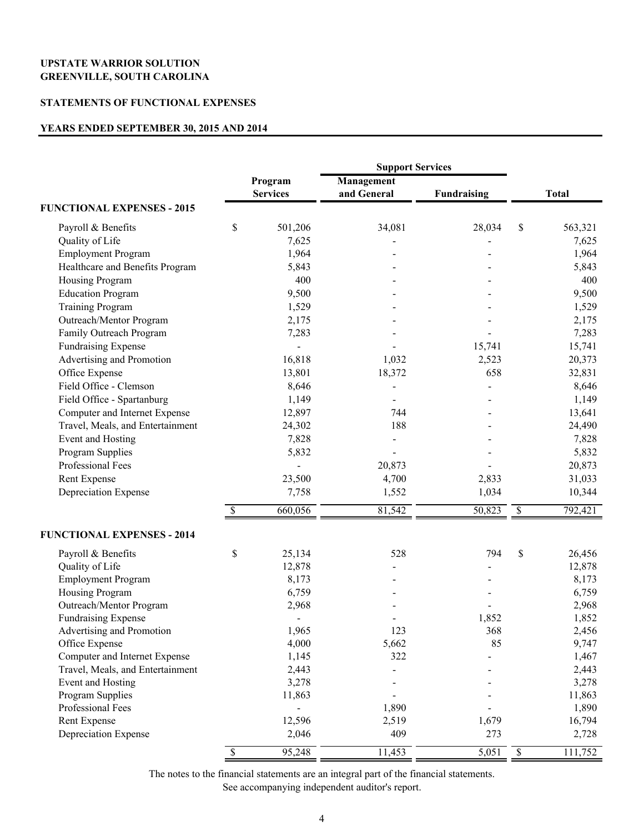#### **STATEMENTS OF FUNCTIONAL EXPENSES**

#### **YEARS ENDED SEPTEMBER 30, 2015 AND 2014**

|                                   |                          |                 | <b>Support Services</b> |                    |             |              |
|-----------------------------------|--------------------------|-----------------|-------------------------|--------------------|-------------|--------------|
|                                   |                          | Program         | Management              |                    |             |              |
|                                   |                          | <b>Services</b> | and General             | <b>Fundraising</b> |             | <b>Total</b> |
| <b>FUNCTIONAL EXPENSES - 2015</b> |                          |                 |                         |                    |             |              |
| Payroll & Benefits                | \$                       | 501,206         | 34,081                  | 28,034             | \$          | 563,321      |
| Quality of Life                   |                          | 7,625           |                         |                    |             | 7,625        |
| <b>Employment Program</b>         |                          | 1,964           |                         |                    |             | 1,964        |
| Healthcare and Benefits Program   |                          | 5,843           |                         |                    |             | 5,843        |
| Housing Program                   |                          | 400             |                         |                    |             | 400          |
| <b>Education Program</b>          |                          | 9,500           |                         |                    |             | 9,500        |
| <b>Training Program</b>           |                          | 1,529           |                         |                    |             | 1,529        |
| Outreach/Mentor Program           |                          | 2,175           |                         |                    |             | 2,175        |
| Family Outreach Program           |                          | 7,283           |                         |                    |             | 7,283        |
| <b>Fundraising Expense</b>        |                          |                 |                         | 15,741             |             | 15,741       |
| Advertising and Promotion         |                          | 16,818          | 1,032                   | 2,523              |             | 20,373       |
| Office Expense                    |                          | 13,801          | 18,372                  | 658                |             | 32,831       |
| Field Office - Clemson            |                          | 8,646           |                         |                    |             | 8,646        |
| Field Office - Spartanburg        |                          | 1,149           |                         |                    |             | 1,149        |
| Computer and Internet Expense     |                          | 12,897          | 744                     |                    |             | 13,641       |
| Travel, Meals, and Entertainment  |                          | 24,302          | 188                     |                    |             | 24,490       |
| Event and Hosting                 |                          | 7,828           |                         |                    |             | 7,828        |
| Program Supplies                  |                          | 5,832           |                         |                    |             | 5,832        |
| Professional Fees                 |                          |                 | 20,873                  |                    |             | 20,873       |
| Rent Expense                      |                          | 23,500          | 4,700                   | 2,833              |             | 31,033       |
| Depreciation Expense              |                          | 7,758           | 1,552                   | 1,034              |             | 10,344       |
|                                   | \$                       | 660,056         | 81,542                  | 50,823             | \$          | 792,421      |
| <b>FUNCTIONAL EXPENSES - 2014</b> |                          |                 |                         |                    |             |              |
| Payroll & Benefits                | \$                       | 25,134          | 528                     | 794                | \$          | 26,456       |
| Quality of Life                   |                          | 12,878          |                         |                    |             | 12,878       |
| <b>Employment Program</b>         |                          | 8,173           |                         |                    |             | 8,173        |
| Housing Program                   |                          | 6,759           |                         |                    |             | 6,759        |
| Outreach/Mentor Program           |                          | 2,968           |                         |                    |             | 2,968        |
| <b>Fundraising Expense</b>        |                          | $\blacksquare$  |                         | 1,852              |             | 1,852        |
| Advertising and Promotion         |                          | 1,965           | 123                     | 368                |             | 2,456        |
| Office Expense                    |                          | 4,000           | 5,662                   | 85                 |             | 9,747        |
| Computer and Internet Expense     |                          | 1,145           | 322                     |                    |             | 1,467        |
| Travel, Meals, and Entertainment  |                          | 2,443           |                         |                    |             | 2,443        |
| Event and Hosting                 |                          | 3,278           |                         |                    |             | 3,278        |
| Program Supplies                  |                          | 11,863          |                         |                    |             | 11,863       |
| Professional Fees                 |                          |                 | 1,890                   |                    |             | 1,890        |
| Rent Expense                      |                          | 12,596          | 2,519                   | 1,679              |             | 16,794       |
| Depreciation Expense              |                          | 2,046           | 409                     | 273                |             | 2,728        |
|                                   | $\overline{\mathcal{S}}$ | 95,248          | 11,453                  | 5,051              | $\mathbb S$ | 111,752      |

The notes to the financial statements are an integral part of the financial statements. See accompanying independent auditor's report.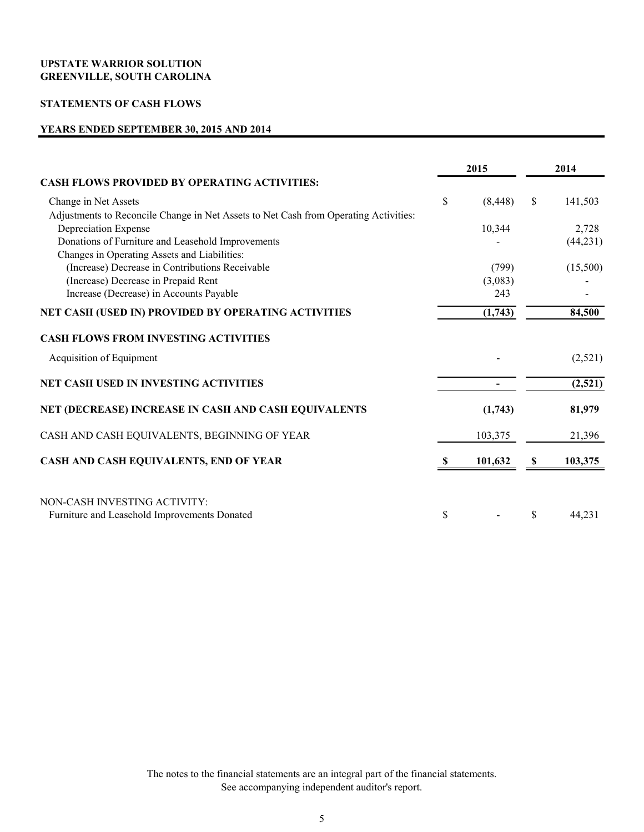# **STATEMENTS OF CASH FLOWS**

# **YEARS ENDED SEPTEMBER 30, 2015 AND 2014**

|                                                                                      |    | 2015     |    | 2014      |  |
|--------------------------------------------------------------------------------------|----|----------|----|-----------|--|
| <b>CASH FLOWS PROVIDED BY OPERATING ACTIVITIES:</b>                                  |    |          |    |           |  |
| Change in Net Assets                                                                 | \$ | (8, 448) | \$ | 141,503   |  |
| Adjustments to Reconcile Change in Net Assets to Net Cash from Operating Activities: |    |          |    |           |  |
| Depreciation Expense                                                                 |    | 10,344   |    | 2,728     |  |
| Donations of Furniture and Leasehold Improvements                                    |    |          |    | (44, 231) |  |
| Changes in Operating Assets and Liabilities:                                         |    |          |    |           |  |
| (Increase) Decrease in Contributions Receivable                                      |    | (799)    |    | (15,500)  |  |
| (Increase) Decrease in Prepaid Rent                                                  |    | (3,083)  |    |           |  |
| Increase (Decrease) in Accounts Payable                                              |    | 243      |    |           |  |
| NET CASH (USED IN) PROVIDED BY OPERATING ACTIVITIES                                  |    | (1,743)  |    | 84,500    |  |
| <b>CASH FLOWS FROM INVESTING ACTIVITIES</b>                                          |    |          |    |           |  |
| Acquisition of Equipment                                                             |    |          |    | (2,521)   |  |
| <b>NET CASH USED IN INVESTING ACTIVITIES</b>                                         |    |          |    | (2,521)   |  |
| NET (DECREASE) INCREASE IN CASH AND CASH EQUIVALENTS                                 |    | (1,743)  |    | 81,979    |  |
| CASH AND CASH EQUIVALENTS, BEGINNING OF YEAR                                         |    | 103,375  |    | 21,396    |  |
| CASH AND CASH EQUIVALENTS, END OF YEAR                                               |    | 101,632  | \$ | 103,375   |  |
| NON-CASH INVESTING ACTIVITY:<br>Furniture and Leasehold Improvements Donated         | \$ |          | \$ | 44,231    |  |
|                                                                                      |    |          |    |           |  |

The notes to the financial statements are an integral part of the financial statements. See accompanying independent auditor's report.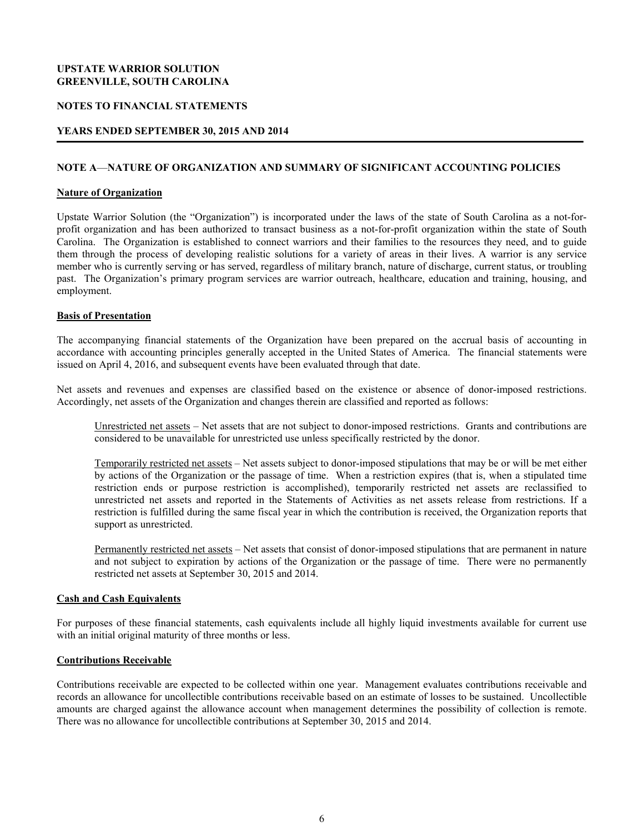#### **NOTES TO FINANCIAL STATEMENTS**

#### **YEARS ENDED SEPTEMBER 30, 2015 AND 2014**

#### **NOTE A**—**NATURE OF ORGANIZATION AND SUMMARY OF SIGNIFICANT ACCOUNTING POLICIES**

ׇ֚֡֬

#### **Nature of Organization**

Upstate Warrior Solution (the "Organization") is incorporated under the laws of the state of South Carolina as a not-forprofit organization and has been authorized to transact business as a not-for-profit organization within the state of South Carolina. The Organization is established to connect warriors and their families to the resources they need, and to guide them through the process of developing realistic solutions for a variety of areas in their lives. A warrior is any service member who is currently serving or has served, regardless of military branch, nature of discharge, current status, or troubling past. The Organization's primary program services are warrior outreach, healthcare, education and training, housing, and employment.

#### **Basis of Presentation**

The accompanying financial statements of the Organization have been prepared on the accrual basis of accounting in accordance with accounting principles generally accepted in the United States of America. The financial statements were issued on April 4, 2016, and subsequent events have been evaluated through that date.

Net assets and revenues and expenses are classified based on the existence or absence of donor-imposed restrictions. Accordingly, net assets of the Organization and changes therein are classified and reported as follows:

Unrestricted net assets – Net assets that are not subject to donor-imposed restrictions. Grants and contributions are considered to be unavailable for unrestricted use unless specifically restricted by the donor.

Temporarily restricted net assets – Net assets subject to donor-imposed stipulations that may be or will be met either by actions of the Organization or the passage of time. When a restriction expires (that is, when a stipulated time restriction ends or purpose restriction is accomplished), temporarily restricted net assets are reclassified to unrestricted net assets and reported in the Statements of Activities as net assets release from restrictions. If a restriction is fulfilled during the same fiscal year in which the contribution is received, the Organization reports that support as unrestricted.

Permanently restricted net assets – Net assets that consist of donor-imposed stipulations that are permanent in nature and not subject to expiration by actions of the Organization or the passage of time. There were no permanently restricted net assets at September 30, 2015 and 2014.

#### **Cash and Cash Equivalents**

For purposes of these financial statements, cash equivalents include all highly liquid investments available for current use with an initial original maturity of three months or less.

#### **Contributions Receivable**

Contributions receivable are expected to be collected within one year. Management evaluates contributions receivable and records an allowance for uncollectible contributions receivable based on an estimate of losses to be sustained. Uncollectible amounts are charged against the allowance account when management determines the possibility of collection is remote. There was no allowance for uncollectible contributions at September 30, 2015 and 2014.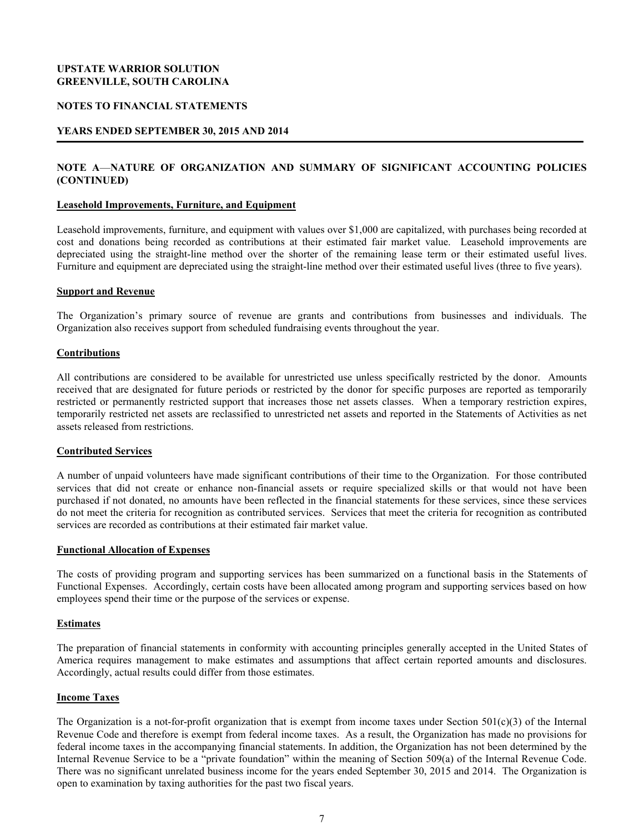#### **NOTES TO FINANCIAL STATEMENTS**

#### **YEARS ENDED SEPTEMBER 30, 2015 AND 2014**

# **NOTE A**—**NATURE OF ORGANIZATION AND SUMMARY OF SIGNIFICANT ACCOUNTING POLICIES (CONTINUED)**

ׇ֚֡֬

#### **Leasehold Improvements, Furniture, and Equipment**

Leasehold improvements, furniture, and equipment with values over \$1,000 are capitalized, with purchases being recorded at cost and donations being recorded as contributions at their estimated fair market value. Leasehold improvements are depreciated using the straight-line method over the shorter of the remaining lease term or their estimated useful lives. Furniture and equipment are depreciated using the straight-line method over their estimated useful lives (three to five years).

#### **Support and Revenue**

The Organization's primary source of revenue are grants and contributions from businesses and individuals. The Organization also receives support from scheduled fundraising events throughout the year.

#### **Contributions**

All contributions are considered to be available for unrestricted use unless specifically restricted by the donor. Amounts received that are designated for future periods or restricted by the donor for specific purposes are reported as temporarily restricted or permanently restricted support that increases those net assets classes. When a temporary restriction expires, temporarily restricted net assets are reclassified to unrestricted net assets and reported in the Statements of Activities as net assets released from restrictions.

#### **Contributed Services**

A number of unpaid volunteers have made significant contributions of their time to the Organization. For those contributed services that did not create or enhance non-financial assets or require specialized skills or that would not have been purchased if not donated, no amounts have been reflected in the financial statements for these services, since these services do not meet the criteria for recognition as contributed services. Services that meet the criteria for recognition as contributed services are recorded as contributions at their estimated fair market value.

# **Functional Allocation of Expenses**

The costs of providing program and supporting services has been summarized on a functional basis in the Statements of Functional Expenses. Accordingly, certain costs have been allocated among program and supporting services based on how employees spend their time or the purpose of the services or expense.

#### **Estimates**

The preparation of financial statements in conformity with accounting principles generally accepted in the United States of America requires management to make estimates and assumptions that affect certain reported amounts and disclosures. Accordingly, actual results could differ from those estimates.

#### **Income Taxes**

The Organization is a not-for-profit organization that is exempt from income taxes under Section  $501(c)(3)$  of the Internal Revenue Code and therefore is exempt from federal income taxes. As a result, the Organization has made no provisions for federal income taxes in the accompanying financial statements. In addition, the Organization has not been determined by the Internal Revenue Service to be a "private foundation" within the meaning of Section 509(a) of the Internal Revenue Code. There was no significant unrelated business income for the years ended September 30, 2015 and 2014. The Organization is open to examination by taxing authorities for the past two fiscal years.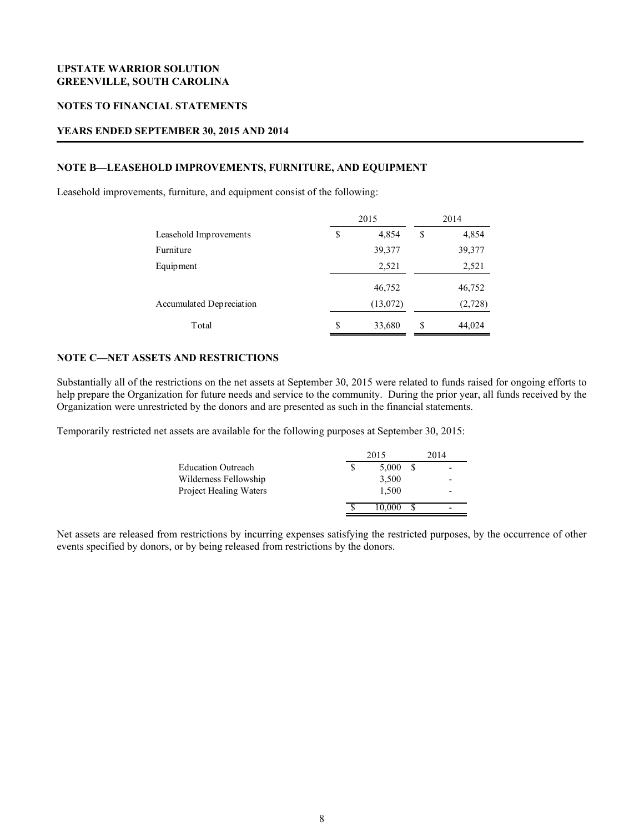#### **NOTES TO FINANCIAL STATEMENTS**

#### **YEARS ENDED SEPTEMBER 30, 2015 AND 2014**

# **NOTE B—LEASEHOLD IMPROVEMENTS, FURNITURE, AND EQUIPMENT**

Leasehold improvements, furniture, and equipment consist of the following:

|                          | 2015        |          |    | 2014    |  |
|--------------------------|-------------|----------|----|---------|--|
| Leasehold Improvements   | \$<br>4,854 |          | \$ | 4,854   |  |
| Furniture                |             | 39,377   |    | 39,377  |  |
| Equipment                |             | 2,521    |    | 2,521   |  |
|                          |             | 46,752   |    | 46,752  |  |
| Accumulated Depreciation |             | (13,072) |    | (2,728) |  |
| Total                    | S           | 33,680   | S  | 44,024  |  |

ׇ֚֡֬

#### **NOTE C—NET ASSETS AND RESTRICTIONS**

Substantially all of the restrictions on the net assets at September 30, 2015 were related to funds raised for ongoing efforts to help prepare the Organization for future needs and service to the community. During the prior year, all funds received by the Organization were unrestricted by the donors and are presented as such in the financial statements.

Temporarily restricted net assets are available for the following purposes at September 30, 2015:

|                           | 2015 |        | 2014 |
|---------------------------|------|--------|------|
| <b>Education Outreach</b> |      | 5.000  | -    |
| Wilderness Fellowship     |      | 3,500  | -    |
| Project Healing Waters    |      | 1.500  | -    |
|                           |      | 10.000 | -    |

Net assets are released from restrictions by incurring expenses satisfying the restricted purposes, by the occurrence of other events specified by donors, or by being released from restrictions by the donors.